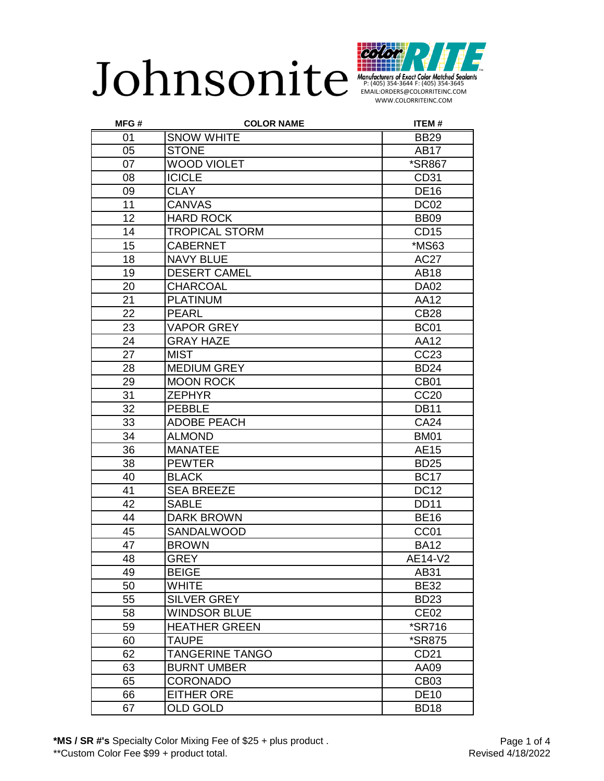

| MFG# | <b>COLOR NAME</b>      | <b>ITEM#</b>         |
|------|------------------------|----------------------|
| 01   | <b>SNOW WHITE</b>      | <b>BB29</b>          |
| 05   | <b>STONE</b>           | <b>AB17</b>          |
| 07   | <b>WOOD VIOLET</b>     | <i><b>*SR867</b></i> |
| 08   | <b>ICICLE</b>          | CD31                 |
| 09   | <b>CLAY</b>            | <b>DE16</b>          |
| 11   | <b>CANVAS</b>          | DC <sub>02</sub>     |
| 12   | <b>HARD ROCK</b>       | <b>BB09</b>          |
| 14   | <b>TROPICAL STORM</b>  | <b>CD15</b>          |
| 15   | <b>CABERNET</b>        | *MS63                |
| 18   | <b>NAVY BLUE</b>       | <b>AC27</b>          |
| 19   | <b>DESERT CAMEL</b>    | <b>AB18</b>          |
| 20   | <b>CHARCOAL</b>        | <b>DA02</b>          |
| 21   | <b>PLATINUM</b>        | <b>AA12</b>          |
| 22   | <b>PEARL</b>           | <b>CB28</b>          |
| 23   | <b>VAPOR GREY</b>      | <b>BC01</b>          |
| 24   | <b>GRAY HAZE</b>       | AA12                 |
| 27   | <b>MIST</b>            | CC23                 |
| 28   | <b>MEDIUM GREY</b>     | <b>BD24</b>          |
| 29   | <b>MOON ROCK</b>       | CB <sub>01</sub>     |
| 31   | <b>ZEPHYR</b>          | <b>CC20</b>          |
| 32   | <b>PEBBLE</b>          | <b>DB11</b>          |
| 33   | <b>ADOBE PEACH</b>     | <b>CA24</b>          |
| 34   | <b>ALMOND</b>          | <b>BM01</b>          |
| 36   | <b>MANATEE</b>         | <b>AE15</b>          |
| 38   | <b>PEWTER</b>          | <b>BD25</b>          |
| 40   | <b>BLACK</b>           | <b>BC17</b>          |
| 41   | <b>SEA BREEZE</b>      | <b>DC12</b>          |
| 42   | <b>SABLE</b>           | <b>DD11</b>          |
| 44   | <b>DARK BROWN</b>      | <b>BE16</b>          |
| 45   | <b>SANDALWOOD</b>      | CC01                 |
| 47   | <b>BROWN</b>           | <b>BA12</b>          |
| 48   | <b>GREY</b>            | AE14-V2              |
| 49   | <b>BEIGE</b>           | AB31                 |
| 50   | <b>WHITE</b>           | <b>BE32</b>          |
| 55   | <b>SILVER GREY</b>     | <b>BD23</b>          |
| 58   | <b>WINDSOR BLUE</b>    | CE <sub>02</sub>     |
| 59   | <b>HEATHER GREEN</b>   | <i><b>*SR716</b></i> |
| 60   | <b>TAUPE</b>           | <i><b>*SR875</b></i> |
| 62   | <b>TANGERINE TANGO</b> | CD <sub>21</sub>     |
| 63   | <b>BURNT UMBER</b>     | AA09                 |
| 65   | <b>CORONADO</b>        | CB <sub>03</sub>     |
| 66   | <b>EITHER ORE</b>      | <b>DE10</b>          |
| 67   | <b>OLD GOLD</b>        | <b>BD18</b>          |

**\*MS / SR #'s** Specialty Color Mixing Fee of \$25 + plus product . \*\*Custom Color Fee \$99 + product total.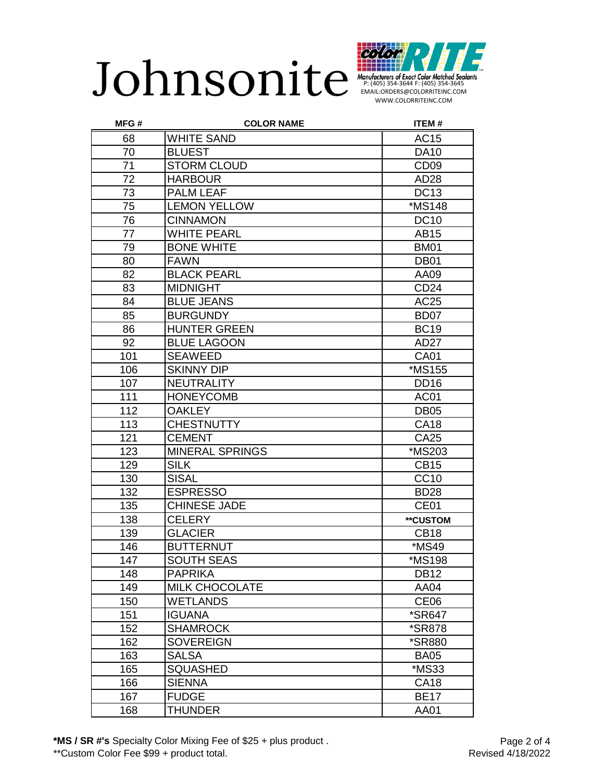

| MFG# | <b>COLOR NAME</b>      | <b>ITEM#</b>     |
|------|------------------------|------------------|
| 68   | <b>WHITE SAND</b>      | AC15             |
| 70   | <b>BLUEST</b>          | <b>DA10</b>      |
| 71   | <b>STORM CLOUD</b>     | CD <sub>09</sub> |
| 72   | <b>HARBOUR</b>         | AD <sub>28</sub> |
| 73   | <b>PALM LEAF</b>       | <b>DC13</b>      |
| 75   | <b>LEMON YELLOW</b>    | *MS148           |
| 76   | <b>CINNAMON</b>        | <b>DC10</b>      |
| 77   | <b>WHITE PEARL</b>     | AB15             |
| 79   | <b>BONE WHITE</b>      | <b>BM01</b>      |
| 80   | <b>FAWN</b>            | DB <sub>01</sub> |
| 82   | <b>BLACK PEARL</b>     | AA09             |
| 83   | <b>MIDNIGHT</b>        | <b>CD24</b>      |
| 84   | <b>BLUE JEANS</b>      | AC25             |
| 85   | <b>BURGUNDY</b>        | BD <sub>07</sub> |
| 86   | <b>HUNTER GREEN</b>    | <b>BC19</b>      |
| 92   | <b>BLUE LAGOON</b>     | AD27             |
| 101  | <b>SEAWEED</b>         | <b>CA01</b>      |
| 106  | <b>SKINNY DIP</b>      | *MS155           |
| 107  | <b>NEUTRALITY</b>      | <b>DD16</b>      |
| 111  | <b>HONEYCOMB</b>       | AC01             |
| 112  | <b>OAKLEY</b>          | <b>DB05</b>      |
| 113  | <b>CHESTNUTTY</b>      | <b>CA18</b>      |
| 121  | <b>CEMENT</b>          | <b>CA25</b>      |
| 123  | <b>MINERAL SPRINGS</b> | *MS203           |
| 129  | <b>SILK</b>            | CB <sub>15</sub> |
| 130  | <b>SISAL</b>           | <b>CC10</b>      |
| 132  | <b>ESPRESSO</b>        | <b>BD28</b>      |
| 135  | <b>CHINESE JADE</b>    | CE <sub>01</sub> |
| 138  | <b>CELERY</b>          | **CUSTOM         |
| 139  | <b>GLACIER</b>         | CB <sub>18</sub> |
| 146  | <b>BUTTERNUT</b>       | *MS49            |
| 147  | <b>SOUTH SEAS</b>      | *MS198           |
| 148  | <b>PAPRIKA</b>         | <b>DB12</b>      |
| 149  | <b>MILK CHOCOLATE</b>  | AA04             |
| 150  | <b>WETLANDS</b>        | CE <sub>06</sub> |
| 151  | <b>IGUANA</b>          | *SR647           |
| 152  | <b>SHAMROCK</b>        | *SR878           |
| 162  | <b>SOVEREIGN</b>       | *SR880           |
| 163  | <b>SALSA</b>           | <b>BA05</b>      |
| 165  | <b>SQUASHED</b>        | *MS33            |
| 166  | <b>SIENNA</b>          | <b>CA18</b>      |
| 167  | <b>FUDGE</b>           | <b>BE17</b>      |
| 168  | <b>THUNDER</b>         | AA01             |

**\*MS / SR #'s** Specialty Color Mixing Fee of \$25 + plus product .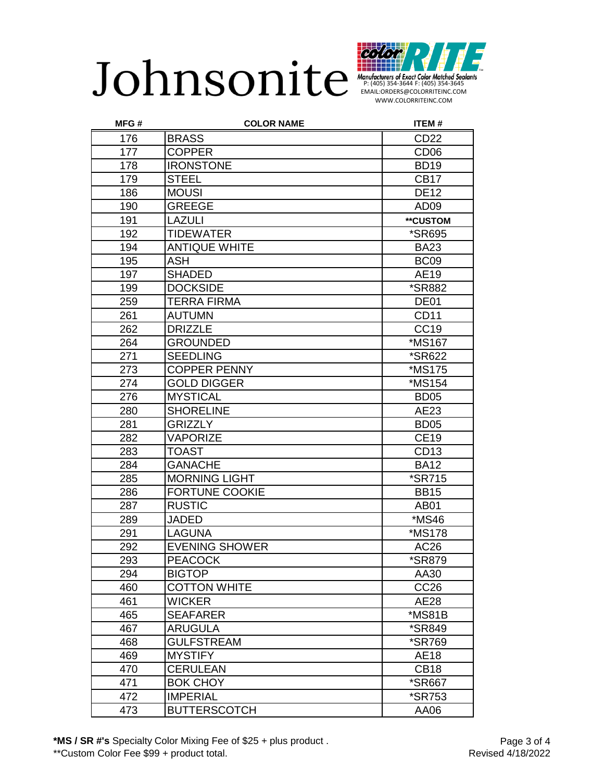

| MFG# | <b>COLOR NAME</b>     | <b>ITEM#</b>         |
|------|-----------------------|----------------------|
| 176  | <b>BRASS</b>          | CD <sub>22</sub>     |
| 177  | <b>COPPER</b>         | CD <sub>06</sub>     |
| 178  | <b>IRONSTONE</b>      | <b>BD19</b>          |
| 179  | <b>STEEL</b>          | <b>CB17</b>          |
| 186  | <b>MOUSI</b>          | <b>DE12</b>          |
| 190  | <b>GREEGE</b>         | AD <sub>09</sub>     |
| 191  | <b>LAZULI</b>         | **CUSTOM             |
| 192  | <b>TIDEWATER</b>      | <i><b>*SR695</b></i> |
| 194  | <b>ANTIQUE WHITE</b>  | <b>BA23</b>          |
| 195  | <b>ASH</b>            | BC <sub>09</sub>     |
| 197  | <b>SHADED</b>         | AE19                 |
| 199  | <b>DOCKSIDE</b>       | *SR882               |
| 259  | <b>TERRA FIRMA</b>    | DE <sub>01</sub>     |
| 261  | <b>AUTUMN</b>         | <b>CD11</b>          |
| 262  | <b>DRIZZLE</b>        | CC <sub>19</sub>     |
| 264  | <b>GROUNDED</b>       | *MS167               |
| 271  | <b>SEEDLING</b>       | <i><b>*SR622</b></i> |
| 273  | <b>COPPER PENNY</b>   | *MS175               |
| 274  | <b>GOLD DIGGER</b>    | *MS154               |
| 276  | <b>MYSTICAL</b>       | BD <sub>05</sub>     |
| 280  | <b>SHORELINE</b>      | AE23                 |
| 281  | <b>GRIZZLY</b>        | <b>BD05</b>          |
| 282  | <b>VAPORIZE</b>       | <b>CE19</b>          |
| 283  | <b>TOAST</b>          | CD <sub>13</sub>     |
| 284  | <b>GANACHE</b>        | <b>BA12</b>          |
| 285  | <b>MORNING LIGHT</b>  | <i><b>*SR715</b></i> |
| 286  | <b>FORTUNE COOKIE</b> | <b>BB15</b>          |
| 287  | <b>RUSTIC</b>         | AB01                 |
| 289  | <b>JADED</b>          | *MS46                |
| 291  | <b>LAGUNA</b>         | *MS178               |
| 292  | <b>EVENING SHOWER</b> | AC26                 |
| 293  | <b>PEACOCK</b>        | *SR879               |
| 294  | <b>BIGTOP</b>         | AA30                 |
| 460  | <b>COTTON WHITE</b>   | CC <sub>26</sub>     |
| 461  | <b>WICKER</b>         | <b>AE28</b>          |
| 465  | <b>SEAFARER</b>       | *MS81B               |
| 467  | <b>ARUGULA</b>        | <i><b>*SR849</b></i> |
| 468  | <b>GULFSTREAM</b>     | <i><b>*SR769</b></i> |
| 469  | <b>MYSTIFY</b>        | AE18                 |
| 470  | <b>CERULEAN</b>       | <b>CB18</b>          |
| 471  | <b>BOK CHOY</b>       | <i><b>*SR667</b></i> |
| 472  | <b>IMPERIAL</b>       | <i><b>*SR753</b></i> |
| 473  | <b>BUTTERSCOTCH</b>   | AA06                 |

**\*MS / SR #'s** Specialty Color Mixing Fee of \$25 + plus product .